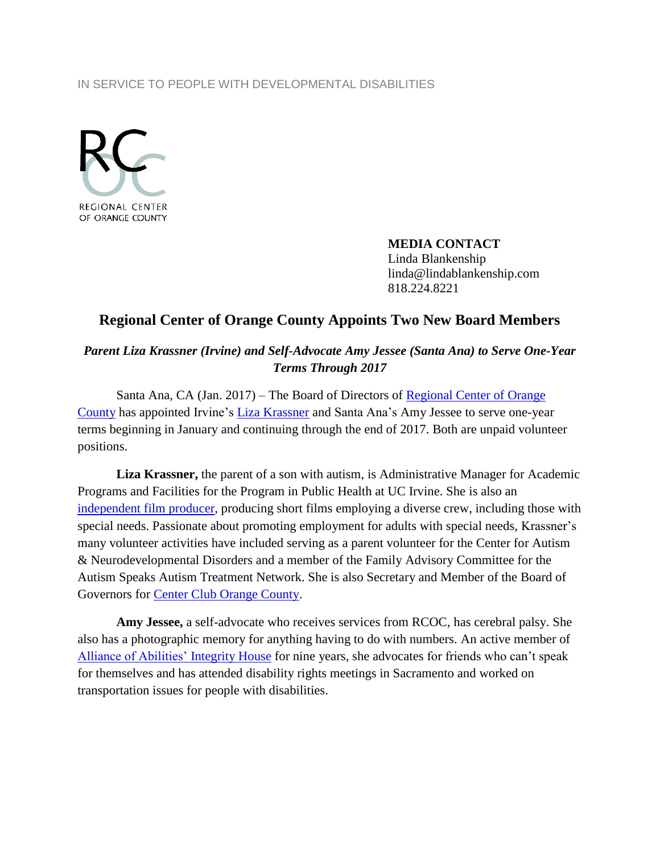## IN SERVICE TO PEOPLE WITH DEVELOPMENTAL DISABILITIES



**MEDIA CONTACT** Linda Blankenship linda@lindablankenship.com 818.224.8221

## **Regional Center of Orange County Appoints Two New Board Members**

*Parent Liza Krassner (Irvine) and Self-Advocate Amy Jessee (Santa Ana) to Serve One-Year Terms Through 2017*

Santa Ana, CA (Jan. 2017) – The Board of Directors of Regional Center of Orange [County](http://www.rcocdd.com/) has appointed Irvine's [Liza Krassner](https://www.linkedin.com/in/liza-krassner-a014337) and Santa Ana's Amy Jessee to serve one-year terms beginning in January and continuing through the end of 2017. Both are unpaid volunteer positions.

**Liza Krassner,** the parent of a son with autism, is Administrative Manager for Academic Programs and Facilities for the Program in Public Health at UC Irvine. She is also an [independent film producer,](http://www.inclusionfilms.com/tango/) producing short films employing a diverse crew, including those with special needs. Passionate about promoting employment for adults with special needs, Krassner's many volunteer activities have included serving as a parent volunteer for the Center for Autism & Neurodevelopmental Disorders and a member of the Family Advisory Committee for the Autism Speaks Autism Treatment Network. She is also Secretary and Member of the Board of Governors for Center Club [Orange County.](http://www.clubcorp.com/Clubs/Center-Club-Orange-County)

**Amy Jessee,** a self-advocate who receives services from RCOC, has cerebral palsy. She also has a photographic memory for anything having to do with numbers. An active member of [Alliance of Abilities' Integrity House](http://allianceofabilities.org/integrity-house.html) for nine years, she advocates for friends who can't speak for themselves and has attended disability rights meetings in Sacramento and worked on transportation issues for people with disabilities.